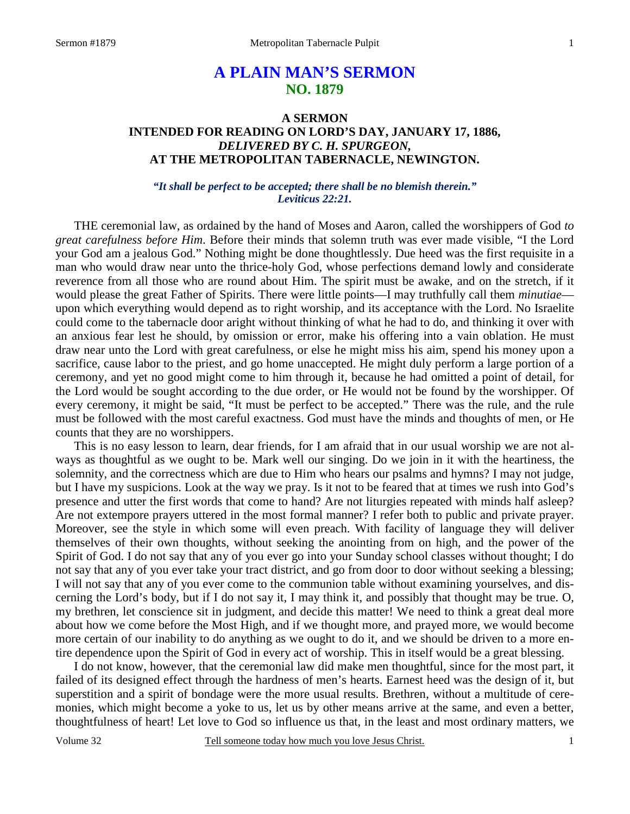# **A PLAIN MAN'S SERMON NO. 1879**

## **A SERMON INTENDED FOR READING ON LORD'S DAY, JANUARY 17, 1886,**  *DELIVERED BY C. H. SPURGEON,*  **AT THE METROPOLITAN TABERNACLE, NEWINGTON.**

## *"It shall be perfect to be accepted; there shall be no blemish therein." Leviticus 22:21.*

THE ceremonial law, as ordained by the hand of Moses and Aaron, called the worshippers of God *to great carefulness before Him*. Before their minds that solemn truth was ever made visible, "I the Lord your God am a jealous God." Nothing might be done thoughtlessly. Due heed was the first requisite in a man who would draw near unto the thrice-holy God, whose perfections demand lowly and considerate reverence from all those who are round about Him. The spirit must be awake, and on the stretch, if it would please the great Father of Spirits. There were little points—I may truthfully call them *minutiae* upon which everything would depend as to right worship, and its acceptance with the Lord. No Israelite could come to the tabernacle door aright without thinking of what he had to do, and thinking it over with an anxious fear lest he should, by omission or error, make his offering into a vain oblation. He must draw near unto the Lord with great carefulness, or else he might miss his aim, spend his money upon a sacrifice, cause labor to the priest, and go home unaccepted. He might duly perform a large portion of a ceremony, and yet no good might come to him through it, because he had omitted a point of detail, for the Lord would be sought according to the due order, or He would not be found by the worshipper. Of every ceremony, it might be said, "It must be perfect to be accepted." There was the rule, and the rule must be followed with the most careful exactness. God must have the minds and thoughts of men, or He counts that they are no worshippers.

 This is no easy lesson to learn, dear friends, for I am afraid that in our usual worship we are not always as thoughtful as we ought to be. Mark well our singing. Do we join in it with the heartiness, the solemnity, and the correctness which are due to Him who hears our psalms and hymns? I may not judge, but I have my suspicions. Look at the way we pray. Is it not to be feared that at times we rush into God's presence and utter the first words that come to hand? Are not liturgies repeated with minds half asleep? Are not extempore prayers uttered in the most formal manner? I refer both to public and private prayer. Moreover, see the style in which some will even preach. With facility of language they will deliver themselves of their own thoughts, without seeking the anointing from on high, and the power of the Spirit of God. I do not say that any of you ever go into your Sunday school classes without thought; I do not say that any of you ever take your tract district, and go from door to door without seeking a blessing; I will not say that any of you ever come to the communion table without examining yourselves, and discerning the Lord's body, but if I do not say it, I may think it, and possibly that thought may be true. O, my brethren, let conscience sit in judgment, and decide this matter! We need to think a great deal more about how we come before the Most High, and if we thought more, and prayed more, we would become more certain of our inability to do anything as we ought to do it, and we should be driven to a more entire dependence upon the Spirit of God in every act of worship. This in itself would be a great blessing.

 I do not know, however, that the ceremonial law did make men thoughtful, since for the most part, it failed of its designed effect through the hardness of men's hearts. Earnest heed was the design of it, but superstition and a spirit of bondage were the more usual results. Brethren, without a multitude of ceremonies, which might become a yoke to us, let us by other means arrive at the same, and even a better, thoughtfulness of heart! Let love to God so influence us that, in the least and most ordinary matters, we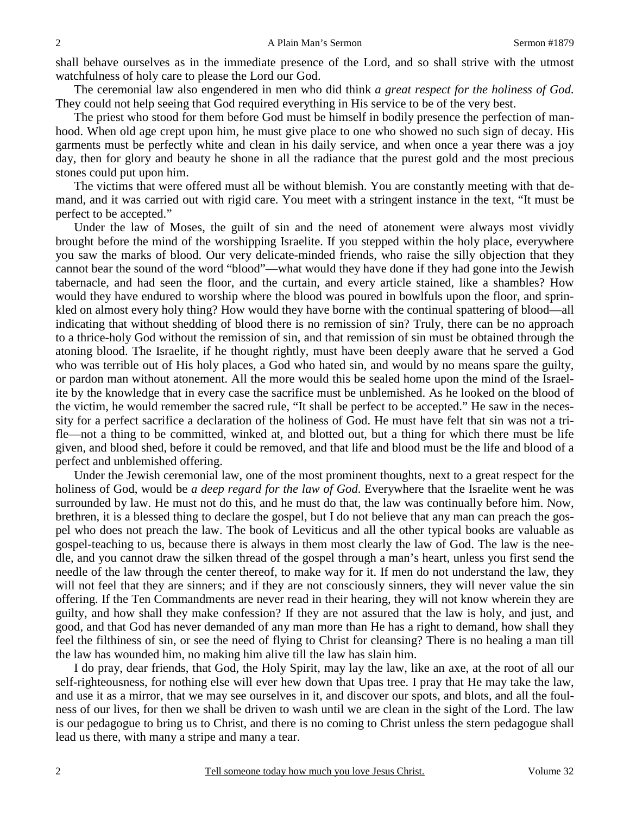shall behave ourselves as in the immediate presence of the Lord, and so shall strive with the utmost watchfulness of holy care to please the Lord our God.

 The ceremonial law also engendered in men who did think *a great respect for the holiness of God*. They could not help seeing that God required everything in His service to be of the very best.

 The priest who stood for them before God must be himself in bodily presence the perfection of manhood. When old age crept upon him, he must give place to one who showed no such sign of decay. His garments must be perfectly white and clean in his daily service, and when once a year there was a joy day, then for glory and beauty he shone in all the radiance that the purest gold and the most precious stones could put upon him.

 The victims that were offered must all be without blemish. You are constantly meeting with that demand, and it was carried out with rigid care. You meet with a stringent instance in the text, "It must be perfect to be accepted."

 Under the law of Moses, the guilt of sin and the need of atonement were always most vividly brought before the mind of the worshipping Israelite. If you stepped within the holy place, everywhere you saw the marks of blood. Our very delicate-minded friends, who raise the silly objection that they cannot bear the sound of the word "blood"—what would they have done if they had gone into the Jewish tabernacle, and had seen the floor, and the curtain, and every article stained, like a shambles? How would they have endured to worship where the blood was poured in bowlfuls upon the floor, and sprinkled on almost every holy thing? How would they have borne with the continual spattering of blood—all indicating that without shedding of blood there is no remission of sin? Truly, there can be no approach to a thrice-holy God without the remission of sin, and that remission of sin must be obtained through the atoning blood. The Israelite, if he thought rightly, must have been deeply aware that he served a God who was terrible out of His holy places, a God who hated sin, and would by no means spare the guilty, or pardon man without atonement. All the more would this be sealed home upon the mind of the Israelite by the knowledge that in every case the sacrifice must be unblemished. As he looked on the blood of the victim, he would remember the sacred rule, "It shall be perfect to be accepted." He saw in the necessity for a perfect sacrifice a declaration of the holiness of God. He must have felt that sin was not a trifle—not a thing to be committed, winked at, and blotted out, but a thing for which there must be life given, and blood shed, before it could be removed, and that life and blood must be the life and blood of a perfect and unblemished offering.

 Under the Jewish ceremonial law, one of the most prominent thoughts, next to a great respect for the holiness of God, would be *a deep regard for the law of God*. Everywhere that the Israelite went he was surrounded by law. He must not do this, and he must do that, the law was continually before him. Now, brethren, it is a blessed thing to declare the gospel, but I do not believe that any man can preach the gospel who does not preach the law. The book of Leviticus and all the other typical books are valuable as gospel-teaching to us, because there is always in them most clearly the law of God. The law is the needle, and you cannot draw the silken thread of the gospel through a man's heart, unless you first send the needle of the law through the center thereof, to make way for it. If men do not understand the law, they will not feel that they are sinners; and if they are not consciously sinners, they will never value the sin offering. If the Ten Commandments are never read in their hearing, they will not know wherein they are guilty, and how shall they make confession? If they are not assured that the law is holy, and just, and good, and that God has never demanded of any man more than He has a right to demand, how shall they feel the filthiness of sin, or see the need of flying to Christ for cleansing? There is no healing a man till the law has wounded him, no making him alive till the law has slain him.

 I do pray, dear friends, that God, the Holy Spirit, may lay the law, like an axe, at the root of all our self-righteousness, for nothing else will ever hew down that Upas tree. I pray that He may take the law, and use it as a mirror, that we may see ourselves in it, and discover our spots, and blots, and all the foulness of our lives, for then we shall be driven to wash until we are clean in the sight of the Lord. The law is our pedagogue to bring us to Christ, and there is no coming to Christ unless the stern pedagogue shall lead us there, with many a stripe and many a tear.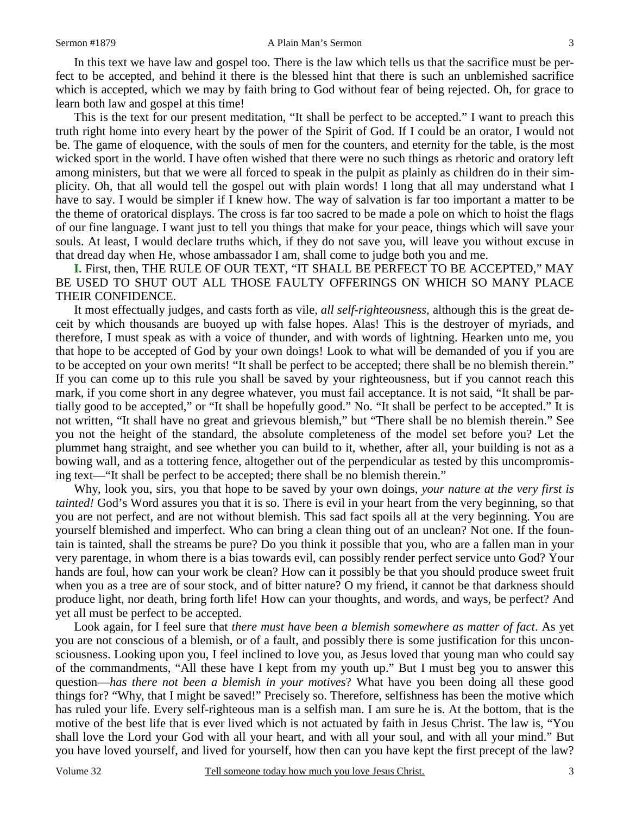In this text we have law and gospel too. There is the law which tells us that the sacrifice must be perfect to be accepted, and behind it there is the blessed hint that there is such an unblemished sacrifice which is accepted, which we may by faith bring to God without fear of being rejected. Oh, for grace to learn both law and gospel at this time!

 This is the text for our present meditation, "It shall be perfect to be accepted." I want to preach this truth right home into every heart by the power of the Spirit of God. If I could be an orator, I would not be. The game of eloquence, with the souls of men for the counters, and eternity for the table, is the most wicked sport in the world. I have often wished that there were no such things as rhetoric and oratory left among ministers, but that we were all forced to speak in the pulpit as plainly as children do in their simplicity. Oh, that all would tell the gospel out with plain words! I long that all may understand what I have to say. I would be simpler if I knew how. The way of salvation is far too important a matter to be the theme of oratorical displays. The cross is far too sacred to be made a pole on which to hoist the flags of our fine language. I want just to tell you things that make for your peace, things which will save your souls. At least, I would declare truths which, if they do not save you, will leave you without excuse in that dread day when He, whose ambassador I am, shall come to judge both you and me.

**I.** First, then, THE RULE OF OUR TEXT, "IT SHALL BE PERFECT TO BE ACCEPTED," MAY BE USED TO SHUT OUT ALL THOSE FAULTY OFFERINGS ON WHICH SO MANY PLACE THEIR CONFIDENCE.

 It most effectually judges, and casts forth as vile, *all self-righteousness,* although this is the great deceit by which thousands are buoyed up with false hopes. Alas! This is the destroyer of myriads, and therefore, I must speak as with a voice of thunder, and with words of lightning. Hearken unto me, you that hope to be accepted of God by your own doings! Look to what will be demanded of you if you are to be accepted on your own merits! "It shall be perfect to be accepted; there shall be no blemish therein." If you can come up to this rule you shall be saved by your righteousness, but if you cannot reach this

mark, if you come short in any degree whatever, you must fail acceptance. It is not said, "It shall be partially good to be accepted," or "It shall be hopefully good." No. "It shall be perfect to be accepted." It is not written, "It shall have no great and grievous blemish," but "There shall be no blemish therein." See you not the height of the standard, the absolute completeness of the model set before you? Let the plummet hang straight, and see whether you can build to it, whether, after all, your building is not as a bowing wall, and as a tottering fence, altogether out of the perpendicular as tested by this uncompromising text—"It shall be perfect to be accepted; there shall be no blemish therein."

 Why, look you, sirs, you that hope to be saved by your own doings, *your nature at the very first is tainted!* God's Word assures you that it is so. There is evil in your heart from the very beginning, so that you are not perfect, and are not without blemish. This sad fact spoils all at the very beginning. You are yourself blemished and imperfect. Who can bring a clean thing out of an unclean? Not one. If the fountain is tainted, shall the streams be pure? Do you think it possible that you, who are a fallen man in your very parentage, in whom there is a bias towards evil, can possibly render perfect service unto God? Your hands are foul, how can your work be clean? How can it possibly be that you should produce sweet fruit when you as a tree are of sour stock, and of bitter nature? O my friend, it cannot be that darkness should produce light, nor death, bring forth life! How can your thoughts, and words, and ways, be perfect? And yet all must be perfect to be accepted.

 Look again, for I feel sure that *there must have been a blemish somewhere as matter of fact*. As yet you are not conscious of a blemish, or of a fault, and possibly there is some justification for this unconsciousness. Looking upon you, I feel inclined to love you, as Jesus loved that young man who could say of the commandments, "All these have I kept from my youth up." But I must beg you to answer this question—*has there not been a blemish in your motives*? What have you been doing all these good things for? "Why, that I might be saved!" Precisely so. Therefore, selfishness has been the motive which has ruled your life. Every self-righteous man is a selfish man. I am sure he is. At the bottom, that is the motive of the best life that is ever lived which is not actuated by faith in Jesus Christ. The law is, "You shall love the Lord your God with all your heart, and with all your soul, and with all your mind." But you have loved yourself, and lived for yourself, how then can you have kept the first precept of the law?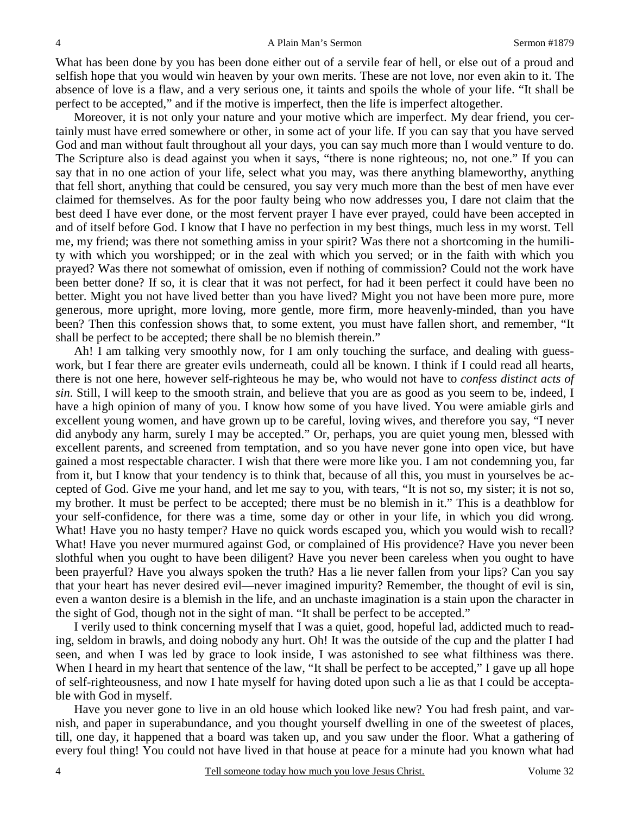What has been done by you has been done either out of a servile fear of hell, or else out of a proud and selfish hope that you would win heaven by your own merits. These are not love, nor even akin to it. The absence of love is a flaw, and a very serious one, it taints and spoils the whole of your life. "It shall be perfect to be accepted," and if the motive is imperfect, then the life is imperfect altogether.

 Moreover, it is not only your nature and your motive which are imperfect. My dear friend, you certainly must have erred somewhere or other, in some act of your life. If you can say that you have served God and man without fault throughout all your days, you can say much more than I would venture to do. The Scripture also is dead against you when it says, "there is none righteous; no, not one." If you can say that in no one action of your life, select what you may, was there anything blameworthy, anything that fell short, anything that could be censured, you say very much more than the best of men have ever claimed for themselves. As for the poor faulty being who now addresses you, I dare not claim that the best deed I have ever done, or the most fervent prayer I have ever prayed, could have been accepted in and of itself before God. I know that I have no perfection in my best things, much less in my worst. Tell me, my friend; was there not something amiss in your spirit? Was there not a shortcoming in the humility with which you worshipped; or in the zeal with which you served; or in the faith with which you prayed? Was there not somewhat of omission, even if nothing of commission? Could not the work have been better done? If so, it is clear that it was not perfect, for had it been perfect it could have been no better. Might you not have lived better than you have lived? Might you not have been more pure, more generous, more upright, more loving, more gentle, more firm, more heavenly-minded, than you have been? Then this confession shows that, to some extent, you must have fallen short, and remember, "It shall be perfect to be accepted; there shall be no blemish therein."

 Ah! I am talking very smoothly now, for I am only touching the surface, and dealing with guesswork, but I fear there are greater evils underneath, could all be known. I think if I could read all hearts, there is not one here, however self-righteous he may be, who would not have to *confess distinct acts of sin*. Still, I will keep to the smooth strain, and believe that you are as good as you seem to be, indeed, I have a high opinion of many of you. I know how some of you have lived. You were amiable girls and excellent young women, and have grown up to be careful, loving wives, and therefore you say, "I never did anybody any harm, surely I may be accepted." Or, perhaps, you are quiet young men, blessed with excellent parents, and screened from temptation, and so you have never gone into open vice, but have gained a most respectable character. I wish that there were more like you. I am not condemning you, far from it, but I know that your tendency is to think that, because of all this, you must in yourselves be accepted of God. Give me your hand, and let me say to you, with tears, "It is not so, my sister; it is not so, my brother. It must be perfect to be accepted; there must be no blemish in it." This is a deathblow for your self-confidence, for there was a time, some day or other in your life, in which you did wrong. What! Have you no hasty temper? Have no quick words escaped you, which you would wish to recall? What! Have you never murmured against God, or complained of His providence? Have you never been slothful when you ought to have been diligent? Have you never been careless when you ought to have been prayerful? Have you always spoken the truth? Has a lie never fallen from your lips? Can you say that your heart has never desired evil—never imagined impurity? Remember, the thought of evil is sin, even a wanton desire is a blemish in the life, and an unchaste imagination is a stain upon the character in the sight of God, though not in the sight of man. "It shall be perfect to be accepted."

 I verily used to think concerning myself that I was a quiet, good, hopeful lad, addicted much to reading, seldom in brawls, and doing nobody any hurt. Oh! It was the outside of the cup and the platter I had seen, and when I was led by grace to look inside, I was astonished to see what filthiness was there. When I heard in my heart that sentence of the law, "It shall be perfect to be accepted," I gave up all hope of self-righteousness, and now I hate myself for having doted upon such a lie as that I could be acceptable with God in myself.

 Have you never gone to live in an old house which looked like new? You had fresh paint, and varnish, and paper in superabundance, and you thought yourself dwelling in one of the sweetest of places, till, one day, it happened that a board was taken up, and you saw under the floor. What a gathering of every foul thing! You could not have lived in that house at peace for a minute had you known what had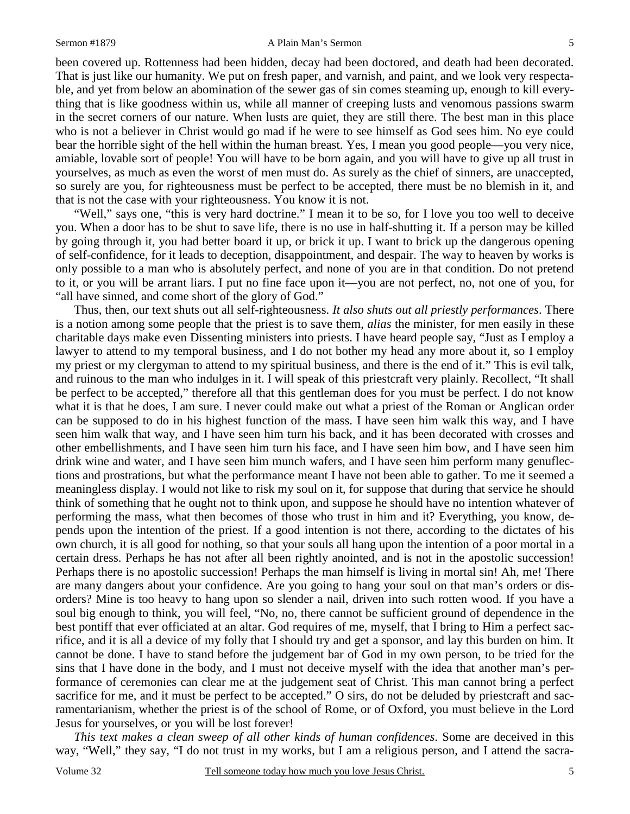#### Sermon #1879 **A Plain Man's Sermon** 5

been covered up. Rottenness had been hidden, decay had been doctored, and death had been decorated. That is just like our humanity. We put on fresh paper, and varnish, and paint, and we look very respectable, and yet from below an abomination of the sewer gas of sin comes steaming up, enough to kill everything that is like goodness within us, while all manner of creeping lusts and venomous passions swarm in the secret corners of our nature. When lusts are quiet, they are still there. The best man in this place who is not a believer in Christ would go mad if he were to see himself as God sees him. No eye could bear the horrible sight of the hell within the human breast. Yes, I mean you good people—you very nice, amiable, lovable sort of people! You will have to be born again, and you will have to give up all trust in yourselves, as much as even the worst of men must do. As surely as the chief of sinners, are unaccepted, so surely are you, for righteousness must be perfect to be accepted, there must be no blemish in it, and that is not the case with your righteousness. You know it is not.

 "Well," says one, "this is very hard doctrine." I mean it to be so, for I love you too well to deceive you. When a door has to be shut to save life, there is no use in half-shutting it. If a person may be killed by going through it, you had better board it up, or brick it up. I want to brick up the dangerous opening of self-confidence, for it leads to deception, disappointment, and despair. The way to heaven by works is only possible to a man who is absolutely perfect, and none of you are in that condition. Do not pretend to it, or you will be arrant liars. I put no fine face upon it—you are not perfect, no, not one of you, for "all have sinned, and come short of the glory of God."

 Thus, then, our text shuts out all self-righteousness. *It also shuts out all priestly performances*. There is a notion among some people that the priest is to save them, *alias* the minister, for men easily in these charitable days make even Dissenting ministers into priests. I have heard people say, "Just as I employ a lawyer to attend to my temporal business, and I do not bother my head any more about it, so I employ my priest or my clergyman to attend to my spiritual business, and there is the end of it." This is evil talk, and ruinous to the man who indulges in it. I will speak of this priestcraft very plainly. Recollect, "It shall be perfect to be accepted," therefore all that this gentleman does for you must be perfect. I do not know what it is that he does, I am sure. I never could make out what a priest of the Roman or Anglican order can be supposed to do in his highest function of the mass. I have seen him walk this way, and I have seen him walk that way, and I have seen him turn his back, and it has been decorated with crosses and other embellishments, and I have seen him turn his face, and I have seen him bow, and I have seen him drink wine and water, and I have seen him munch wafers, and I have seen him perform many genuflections and prostrations, but what the performance meant I have not been able to gather. To me it seemed a meaningless display. I would not like to risk my soul on it, for suppose that during that service he should think of something that he ought not to think upon, and suppose he should have no intention whatever of performing the mass, what then becomes of those who trust in him and it? Everything, you know, depends upon the intention of the priest. If a good intention is not there, according to the dictates of his own church, it is all good for nothing, so that your souls all hang upon the intention of a poor mortal in a certain dress. Perhaps he has not after all been rightly anointed, and is not in the apostolic succession! Perhaps there is no apostolic succession! Perhaps the man himself is living in mortal sin! Ah, me! There are many dangers about your confidence. Are you going to hang your soul on that man's orders or disorders? Mine is too heavy to hang upon so slender a nail, driven into such rotten wood. If you have a soul big enough to think, you will feel, "No, no, there cannot be sufficient ground of dependence in the best pontiff that ever officiated at an altar. God requires of me, myself, that I bring to Him a perfect sacrifice, and it is all a device of my folly that I should try and get a sponsor, and lay this burden on him. It cannot be done. I have to stand before the judgement bar of God in my own person, to be tried for the sins that I have done in the body, and I must not deceive myself with the idea that another man's performance of ceremonies can clear me at the judgement seat of Christ. This man cannot bring a perfect sacrifice for me, and it must be perfect to be accepted." O sirs, do not be deluded by priestcraft and sacramentarianism, whether the priest is of the school of Rome, or of Oxford, you must believe in the Lord Jesus for yourselves, or you will be lost forever!

*This text makes a clean sweep of all other kinds of human confidences*. Some are deceived in this way, "Well," they say, "I do not trust in my works, but I am a religious person, and I attend the sacra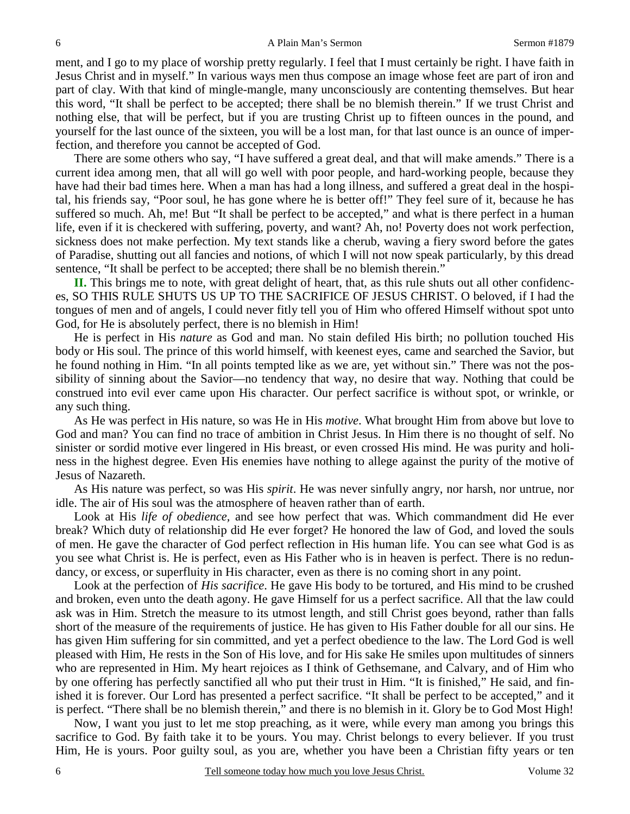ment, and I go to my place of worship pretty regularly. I feel that I must certainly be right. I have faith in Jesus Christ and in myself." In various ways men thus compose an image whose feet are part of iron and part of clay. With that kind of mingle-mangle, many unconsciously are contenting themselves. But hear this word, "It shall be perfect to be accepted; there shall be no blemish therein." If we trust Christ and nothing else, that will be perfect, but if you are trusting Christ up to fifteen ounces in the pound, and yourself for the last ounce of the sixteen, you will be a lost man, for that last ounce is an ounce of imperfection, and therefore you cannot be accepted of God.

 There are some others who say, "I have suffered a great deal, and that will make amends." There is a current idea among men, that all will go well with poor people, and hard-working people, because they have had their bad times here. When a man has had a long illness, and suffered a great deal in the hospital, his friends say, "Poor soul, he has gone where he is better off!" They feel sure of it, because he has suffered so much. Ah, me! But "It shall be perfect to be accepted," and what is there perfect in a human life, even if it is checkered with suffering, poverty, and want? Ah, no! Poverty does not work perfection, sickness does not make perfection. My text stands like a cherub, waving a fiery sword before the gates of Paradise, shutting out all fancies and notions, of which I will not now speak particularly, by this dread sentence, "It shall be perfect to be accepted; there shall be no blemish therein."

**II.** This brings me to note, with great delight of heart, that, as this rule shuts out all other confidences, SO THIS RULE SHUTS US UP TO THE SACRIFICE OF JESUS CHRIST. O beloved, if I had the tongues of men and of angels, I could never fitly tell you of Him who offered Himself without spot unto God, for He is absolutely perfect, there is no blemish in Him!

 He is perfect in His *nature* as God and man. No stain defiled His birth; no pollution touched His body or His soul. The prince of this world himself, with keenest eyes, came and searched the Savior, but he found nothing in Him. "In all points tempted like as we are, yet without sin." There was not the possibility of sinning about the Savior—no tendency that way, no desire that way. Nothing that could be construed into evil ever came upon His character. Our perfect sacrifice is without spot, or wrinkle, or any such thing.

 As He was perfect in His nature, so was He in His *motive*. What brought Him from above but love to God and man? You can find no trace of ambition in Christ Jesus. In Him there is no thought of self. No sinister or sordid motive ever lingered in His breast, or even crossed His mind. He was purity and holiness in the highest degree. Even His enemies have nothing to allege against the purity of the motive of Jesus of Nazareth.

 As His nature was perfect, so was His *spirit*. He was never sinfully angry, nor harsh, nor untrue, nor idle. The air of His soul was the atmosphere of heaven rather than of earth.

 Look at His *life of obedience,* and see how perfect that was. Which commandment did He ever break? Which duty of relationship did He ever forget? He honored the law of God, and loved the souls of men. He gave the character of God perfect reflection in His human life. You can see what God is as you see what Christ is. He is perfect, even as His Father who is in heaven is perfect. There is no redundancy, or excess, or superfluity in His character, even as there is no coming short in any point.

 Look at the perfection of *His sacrifice*. He gave His body to be tortured, and His mind to be crushed and broken, even unto the death agony. He gave Himself for us a perfect sacrifice. All that the law could ask was in Him. Stretch the measure to its utmost length, and still Christ goes beyond, rather than falls short of the measure of the requirements of justice. He has given to His Father double for all our sins. He has given Him suffering for sin committed, and yet a perfect obedience to the law. The Lord God is well pleased with Him, He rests in the Son of His love, and for His sake He smiles upon multitudes of sinners who are represented in Him. My heart rejoices as I think of Gethsemane, and Calvary, and of Him who by one offering has perfectly sanctified all who put their trust in Him. "It is finished," He said, and finished it is forever. Our Lord has presented a perfect sacrifice. "It shall be perfect to be accepted," and it is perfect. "There shall be no blemish therein," and there is no blemish in it. Glory be to God Most High!

 Now, I want you just to let me stop preaching, as it were, while every man among you brings this sacrifice to God. By faith take it to be yours. You may. Christ belongs to every believer. If you trust Him, He is yours. Poor guilty soul, as you are, whether you have been a Christian fifty years or ten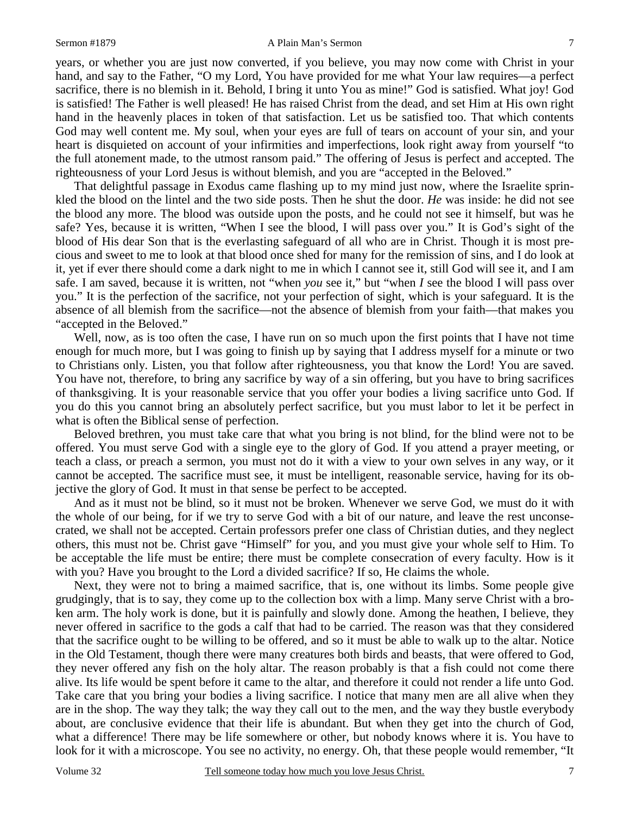### Sermon #1879 **A Plain Man's Sermon** 7

years, or whether you are just now converted, if you believe, you may now come with Christ in your hand, and say to the Father, "O my Lord, You have provided for me what Your law requires—a perfect sacrifice, there is no blemish in it. Behold, I bring it unto You as mine!" God is satisfied. What joy! God is satisfied! The Father is well pleased! He has raised Christ from the dead, and set Him at His own right hand in the heavenly places in token of that satisfaction. Let us be satisfied too. That which contents God may well content me. My soul, when your eyes are full of tears on account of your sin, and your heart is disquieted on account of your infirmities and imperfections, look right away from yourself "to the full atonement made, to the utmost ransom paid." The offering of Jesus is perfect and accepted. The righteousness of your Lord Jesus is without blemish, and you are "accepted in the Beloved."

 That delightful passage in Exodus came flashing up to my mind just now, where the Israelite sprinkled the blood on the lintel and the two side posts. Then he shut the door. *He* was inside: he did not see the blood any more. The blood was outside upon the posts, and he could not see it himself, but was he safe? Yes, because it is written, "When I see the blood, I will pass over you." It is God's sight of the blood of His dear Son that is the everlasting safeguard of all who are in Christ. Though it is most precious and sweet to me to look at that blood once shed for many for the remission of sins, and I do look at it, yet if ever there should come a dark night to me in which I cannot see it, still God will see it, and I am safe. I am saved, because it is written, not "when *you* see it," but "when *I* see the blood I will pass over you." It is the perfection of the sacrifice, not your perfection of sight, which is your safeguard. It is the absence of all blemish from the sacrifice—not the absence of blemish from your faith—that makes you "accepted in the Beloved."

 Well, now, as is too often the case, I have run on so much upon the first points that I have not time enough for much more, but I was going to finish up by saying that I address myself for a minute or two to Christians only. Listen, you that follow after righteousness, you that know the Lord! You are saved. You have not, therefore, to bring any sacrifice by way of a sin offering, but you have to bring sacrifices of thanksgiving. It is your reasonable service that you offer your bodies a living sacrifice unto God. If you do this you cannot bring an absolutely perfect sacrifice, but you must labor to let it be perfect in what is often the Biblical sense of perfection.

 Beloved brethren, you must take care that what you bring is not blind, for the blind were not to be offered. You must serve God with a single eye to the glory of God. If you attend a prayer meeting, or teach a class, or preach a sermon, you must not do it with a view to your own selves in any way, or it cannot be accepted. The sacrifice must see, it must be intelligent, reasonable service, having for its objective the glory of God. It must in that sense be perfect to be accepted.

 And as it must not be blind, so it must not be broken. Whenever we serve God, we must do it with the whole of our being, for if we try to serve God with a bit of our nature, and leave the rest unconsecrated, we shall not be accepted. Certain professors prefer one class of Christian duties, and they neglect others, this must not be. Christ gave "Himself" for you, and you must give your whole self to Him. To be acceptable the life must be entire; there must be complete consecration of every faculty. How is it with you? Have you brought to the Lord a divided sacrifice? If so, He claims the whole.

 Next, they were not to bring a maimed sacrifice, that is, one without its limbs. Some people give grudgingly, that is to say, they come up to the collection box with a limp. Many serve Christ with a broken arm. The holy work is done, but it is painfully and slowly done. Among the heathen, I believe, they never offered in sacrifice to the gods a calf that had to be carried. The reason was that they considered that the sacrifice ought to be willing to be offered, and so it must be able to walk up to the altar. Notice in the Old Testament, though there were many creatures both birds and beasts, that were offered to God, they never offered any fish on the holy altar. The reason probably is that a fish could not come there alive. Its life would be spent before it came to the altar, and therefore it could not render a life unto God. Take care that you bring your bodies a living sacrifice. I notice that many men are all alive when they are in the shop. The way they talk; the way they call out to the men, and the way they bustle everybody about, are conclusive evidence that their life is abundant. But when they get into the church of God, what a difference! There may be life somewhere or other, but nobody knows where it is. You have to look for it with a microscope. You see no activity, no energy. Oh, that these people would remember, "It